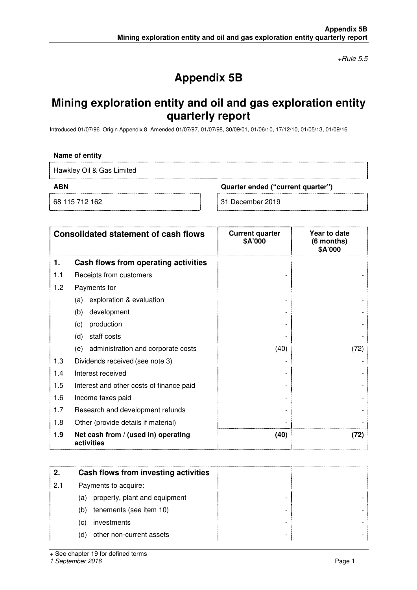$+$ Rule 5.5

# **Appendix 5B**

## **Mining exploration entity and oil and gas exploration entity quarterly report**

Introduced 01/07/96 Origin Appendix 8 Amended 01/07/97, 01/07/98, 30/09/01, 01/06/10, 17/12/10, 01/05/13, 01/09/16

#### **Name of entity**

Hawkley Oil & Gas Limited

**ABN Quarter ended ("current quarter")** 

68 115 712 162 31 December 2019

| <b>Consolidated statement of cash flows</b> |                                                   | <b>Current quarter</b><br>\$A'000 | Year to date<br>(6 months)<br>\$A'000 |
|---------------------------------------------|---------------------------------------------------|-----------------------------------|---------------------------------------|
| 1.                                          | Cash flows from operating activities              |                                   |                                       |
| 1.1                                         | Receipts from customers                           |                                   |                                       |
| 1.2                                         | Payments for                                      |                                   |                                       |
|                                             | exploration & evaluation<br>(a)                   |                                   |                                       |
|                                             | development<br>(b)                                |                                   |                                       |
|                                             | production<br>(c)                                 |                                   |                                       |
|                                             | staff costs<br>(d)                                |                                   |                                       |
|                                             | administration and corporate costs<br>(e)         | (40)                              | (72)                                  |
| 1.3                                         | Dividends received (see note 3)                   |                                   |                                       |
| 1.4                                         | Interest received                                 |                                   |                                       |
| 1.5                                         | Interest and other costs of finance paid          |                                   |                                       |
| 1.6                                         | Income taxes paid                                 |                                   |                                       |
| 1.7                                         | Research and development refunds                  |                                   |                                       |
| 1.8                                         | Other (provide details if material)               |                                   |                                       |
| 1.9                                         | Net cash from / (used in) operating<br>activities | (40)                              | (72)                                  |

|     | Cash flows from investing activities |  |
|-----|--------------------------------------|--|
| 2.1 | Payments to acquire:                 |  |
|     | property, plant and equipment<br>(a) |  |
|     | tenements (see item 10)<br>(b)       |  |
|     | investments<br>(C)                   |  |
|     | other non-current assets<br>(d)      |  |

+ See chapter 19 for defined terms

1 September 2016 **Page 1**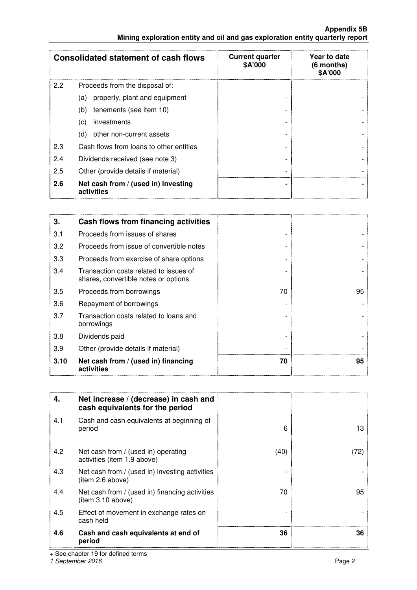**Appendix 5B Mining exploration entity and oil and gas exploration entity quarterly report** 

|     | <b>Consolidated statement of cash flows</b>       | <b>Current quarter</b><br>\$A'000 | Year to date<br>$(6$ months)<br>\$A'000 |
|-----|---------------------------------------------------|-----------------------------------|-----------------------------------------|
| 2.2 | Proceeds from the disposal of:                    |                                   |                                         |
|     | property, plant and equipment<br>(a)              |                                   |                                         |
|     | tenements (see item 10)<br>(b)                    |                                   |                                         |
|     | investments<br>$\left( \mathrm{c}\right)$         |                                   |                                         |
|     | other non-current assets<br>(d)                   |                                   |                                         |
| 2.3 | Cash flows from loans to other entities           |                                   |                                         |
| 2.4 | Dividends received (see note 3)                   |                                   |                                         |
| 2.5 | Other (provide details if material)               |                                   |                                         |
| 2.6 | Net cash from / (used in) investing<br>activities |                                   |                                         |

| 3.   | Cash flows from financing activities                                           |    |    |
|------|--------------------------------------------------------------------------------|----|----|
| 3.1  | Proceeds from issues of shares                                                 |    |    |
| 3.2  | Proceeds from issue of convertible notes                                       |    |    |
| 3.3  | Proceeds from exercise of share options                                        |    |    |
| 3.4  | Transaction costs related to issues of<br>shares, convertible notes or options |    |    |
| 3.5  | Proceeds from borrowings                                                       | 70 | 95 |
| 3.6  | Repayment of borrowings                                                        |    |    |
| 3.7  | Transaction costs related to loans and<br>borrowings                           |    |    |
| 3.8  | Dividends paid                                                                 |    |    |
| 3.9  | Other (provide details if material)                                            |    |    |
| 3.10 | Net cash from / (used in) financing<br>activities                              | 70 | 95 |

| 4.  | Net increase / (decrease) in cash and<br>cash equivalents for the period |      |      |
|-----|--------------------------------------------------------------------------|------|------|
| 4.1 | Cash and cash equivalents at beginning of<br>period                      | 6    | 13   |
| 4.2 | Net cash from / (used in) operating<br>activities (item 1.9 above)       | (40) | (72) |
| 4.3 | Net cash from / (used in) investing activities<br>item 2.6 above)        |      |      |
| 4.4 | Net cash from / (used in) financing activities<br>(item 3.10 above)      | 70   | 95   |
| 4.5 | Effect of movement in exchange rates on<br>cash held                     |      |      |
| 4.6 | Cash and cash equivalents at end of<br>period                            | 36   | 36   |

+ See chapter 19 for defined terms

1 September 2016 **Page 2** Page 2 **Page 2** Page 2 Page 2 Page 2 Page 2 Page 2 Page 2 Page 2 Page 2 Page 2 Page 2 Page 2 Page 2 Page 2 Page 2 Page 2 Page 2 Page 2 Page 2 Page 2 Page 2 Page 2 Page 2 Page 2 Page 2 Page 2 Page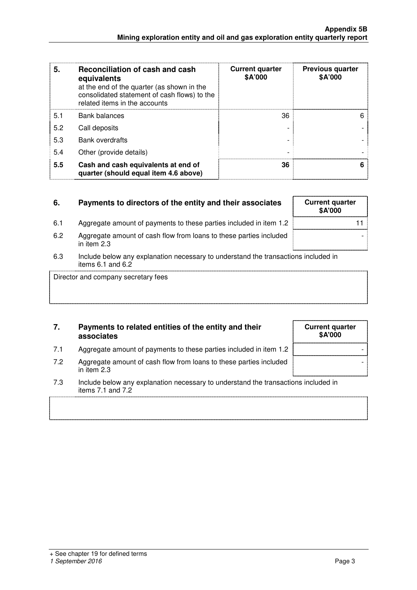| 5.  | Reconciliation of cash and cash<br>equivalents<br>at the end of the quarter (as shown in the<br>consolidated statement of cash flows) to the<br>related items in the accounts | <b>Current quarter</b><br>\$A'000 | <b>Previous quarter</b><br>\$A'000 |
|-----|-------------------------------------------------------------------------------------------------------------------------------------------------------------------------------|-----------------------------------|------------------------------------|
| 5.1 | <b>Bank balances</b>                                                                                                                                                          | 36                                | 6                                  |
| 5.2 | Call deposits                                                                                                                                                                 |                                   |                                    |
| 5.3 | <b>Bank overdrafts</b>                                                                                                                                                        |                                   |                                    |
| 5.4 | Other (provide details)                                                                                                                                                       |                                   |                                    |
| 5.5 | Cash and cash equivalents at end of<br>quarter (should equal item 4.6 above)                                                                                                  | 36                                |                                    |

## **6.** Payments to directors of the entity and their associates **Current quarter** 6.1 Aggregate amount of payments to these parties included in item 1.2 6.2 Aggregate amount of cash flow from loans to these parties included in item 2.3

6.3 Include below any explanation necessary to understand the transactions included in items 6.1 and 6.2

Director and company secretary fees

## **7. Payments to related entities of the entity and their associates**

- 7.1 Aggregate amount of payments to these parties included in item 1.2
- 7.2 Aggregate amount of cash flow from loans to these parties included in item 2.3
- 7.3 Include below any explanation necessary to understand the transaction items 7.1 and 7.2

### 1 September 2016 **Page 3** Page 3

| Gunent quarter<br>\$A'000 |
|---------------------------|
|                           |
|                           |

٦

| <b>Current quarter</b><br>\$A'000 |  |
|-----------------------------------|--|
|                                   |  |
|                                   |  |
|                                   |  |
| ns included in                    |  |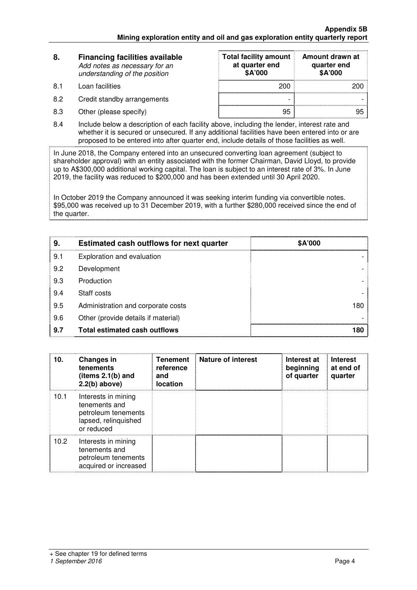| 8.  | <b>Financing facilities available</b><br>Add notes as necessary for an<br>understanding of the position | <b>Total facility amount</b><br>at quarter end<br>\$A'000 | Amount drawn at<br>quarter end<br>\$A'000 |  |
|-----|---------------------------------------------------------------------------------------------------------|-----------------------------------------------------------|-------------------------------------------|--|
| 8.1 | Loan facilities                                                                                         | 200                                                       | 200                                       |  |
| 8.2 | Credit standby arrangements                                                                             | $\overline{\phantom{0}}$                                  |                                           |  |
| 8.3 | Other (please specify)                                                                                  | 95                                                        |                                           |  |

8.4 Include below a description of each facility above, including the lender, interest rate and whether it is secured or unsecured. If any additional facilities have been entered into or are proposed to be entered into after quarter end, include details of those facilities as well.

In June 2018, the Company entered into an unsecured converting loan agreement (subject to shareholder approval) with an entity associated with the former Chairman, David Lloyd, to provide up to A\$300,000 additional working capital. The loan is subject to an interest rate of 3%. In June 2019, the facility was reduced to \$200,000 and has been extended until 30 April 2020.

In October 2019 the Company announced it was seeking interim funding via convertible notes. \$95,000 was received up to 31 December 2019, with a further \$280,000 received since the end of the quarter.

| 9   | Estimated cash outflows for next quarter | \$A'000 |
|-----|------------------------------------------|---------|
| 9.1 | Exploration and evaluation               |         |
| 9.2 | Development                              |         |
| 9.3 | Production                               |         |
| 9.4 | Staff costs                              |         |
| 9.5 | Administration and corporate costs       |         |
| 9.6 | Other (provide details if material)      |         |
| 9.7 | Total estimated cash outflows            |         |

| 10.  | <b>Changes in</b><br>tenements<br>(items $2.1(b)$ and<br>$2.2(b)$ above)                          | <b>Tenement</b><br>reference<br>and<br><b>location</b> | Nature of interest | Interest at<br>beginning<br>of quarter | <b>Interest</b><br>at end of<br>quarter |
|------|---------------------------------------------------------------------------------------------------|--------------------------------------------------------|--------------------|----------------------------------------|-----------------------------------------|
| 10.1 | Interests in mining<br>tenements and<br>petroleum tenements<br>lapsed, relinquished<br>or reduced |                                                        |                    |                                        |                                         |
| 10.2 | Interests in mining<br>tenements and<br>petroleum tenements<br>acquired or increased              |                                                        |                    |                                        |                                         |